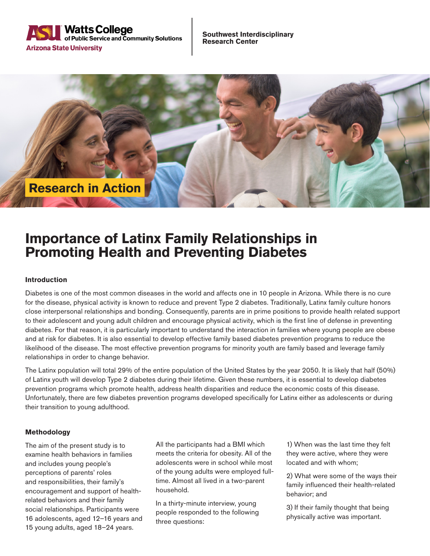

**Southwest Interdisciplinary Research Center**



# **Importance of Latinx Family Relationships in Promoting Health and Preventing Diabetes**

## **Introduction**

Diabetes is one of the most common diseases in the world and affects one in 10 people in Arizona. While there is no cure for the disease, physical activity is known to reduce and prevent Type 2 diabetes. Traditionally, Latinx family culture honors close interpersonal relationships and bonding. Consequently, parents are in prime positions to provide health related support to their adolescent and young adult children and encourage physical activity, which is the first line of defense in preventing diabetes. For that reason, it is particularly important to understand the interaction in families where young people are obese and at risk for diabetes. It is also essential to develop effective family based diabetes prevention programs to reduce the likelihood of the disease. The most effective prevention programs for minority youth are family based and leverage family relationships in order to change behavior.

The Latinx population will total 29% of the entire population of the United States by the year 2050. It is likely that half (50%) of Latinx youth will develop Type 2 diabetes during their lifetime. Given these numbers, it is essential to develop diabetes prevention programs which promote health, address health disparities and reduce the economic costs of this disease. Unfortunately, there are few diabetes prevention programs developed specifically for Latinx either as adolescents or during their transition to young adulthood.

#### **Methodology**

The aim of the present study is to examine health behaviors in families and includes young people's perceptions of parents' roles and responsibilities, their family's encouragement and support of healthrelated behaviors and their family social relationships. Participants were 16 adolescents, aged 12–16 years and 15 young adults, aged 18–24 years.

All the participants had a BMI which meets the criteria for obesity. All of the adolescents were in school while most of the young adults were employed fulltime. Almost all lived in a two-parent household.

In a thirty-minute interview, young people responded to the following three questions:

1) When was the last time they felt they were active, where they were located and with whom;

2) What were some of the ways their family influenced their health-related behavior; and

3) If their family thought that being physically active was important.